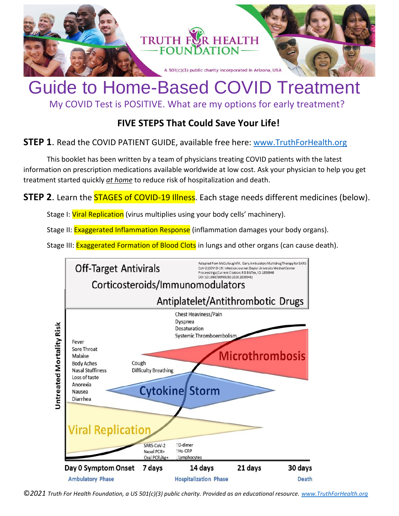

## Guide to Home-Based COVID Treatment

My COVID Test is POSITIVE. What are my options for early treatment?

## **FIVE STEPS That Could Save Your Life!**

## **STEP 1**. Read the COVID PATIENT GUIDE, available free here: [www.TruthForHealth.org](http://www.truthforhealth.org/)

This booklet has been written by a team of physicians treating COVID patients with the latest information on prescription medications available worldwide at low cost. Ask your physician to help you get treatment started quickly *at home* to reduce risk of hospitalization and death.

**STEP 2.** Learn the **STAGES of COVID-19 Illness**. Each stage needs different medicines (below).

Stage I: Viral Replication (virus multiplies using your body cells' machinery).

Stage II: Exaggerated Inflammation Response (inflammation damages your body organs).

Stage III: Exaggerated Formation of Blood Clots in lungs and other organs (can cause death).



©*2021 Truth For Health Foundation, a US 501(c)(3) public charity. Provided as an educational resource. [www.TruthForHealth.org](http://www.truthforhealth.org/)*